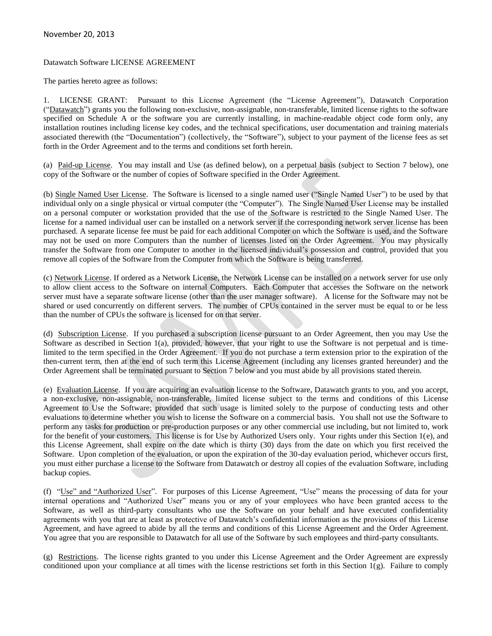# November 20, 2013

## Datawatch Software LICENSE AGREEMENT

The parties hereto agree as follows:

1. LICENSE GRANT: Pursuant to this License Agreement (the "License Agreement"), Datawatch Corporation ("Datawatch") grants you the following non-exclusive, non-assignable, non-transferable, limited license rights to the software specified on Schedule A or the software you are currently installing, in machine-readable object code form only, any installation routines including license key codes, and the technical specifications, user documentation and training materials associated therewith (the "Documentation") (collectively, the "Software"), subject to your payment of the license fees as set forth in the Order Agreement and to the terms and conditions set forth herein.

(a) Paid-up License. You may install and Use (as defined below), on a perpetual basis (subject to Section 7 below), one copy of the Software or the number of copies of Software specified in the Order Agreement.

(b) Single Named User License. The Software is licensed to a single named user ("Single Named User") to be used by that individual only on a single physical or virtual computer (the "Computer"). The Single Named User License may be installed on a personal computer or workstation provided that the use of the Software is restricted to the Single Named User. The license for a named individual user can be installed on a network server if the corresponding network server license has been purchased. A separate license fee must be paid for each additional Computer on which the Software is used, and the Software may not be used on more Computers than the number of licenses listed on the Order Agreement. You may physically transfer the Software from one Computer to another in the licensed individual's possession and control, provided that you remove all copies of the Software from the Computer from which the Software is being transferred.

(c) Network License. If ordered as a Network License, the Network License can be installed on a network server for use only to allow client access to the Software on internal Computers. Each Computer that accesses the Software on the network server must have a separate software license (other than the user manager software). A license for the Software may not be shared or used concurrently on different servers. The number of CPUs contained in the server must be equal to or be less than the number of CPUs the software is licensed for on that server.

(d) Subscription License. If you purchased a subscription license pursuant to an Order Agreement, then you may Use the Software as described in Section 1(a), provided, however, that your right to use the Software is not perpetual and is timelimited to the term specified in the Order Agreement. If you do not purchase a term extension prior to the expiration of the then-current term, then at the end of such term this License Agreement (including any licenses granted hereunder) and the Order Agreement shall be terminated pursuant to Section 7 below and you must abide by all provisions stated therein.

(e) Evaluation License. If you are acquiring an evaluation license to the Software, Datawatch grants to you, and you accept, a non-exclusive, non-assignable, non-transferable, limited license subject to the terms and conditions of this License Agreement to Use the Software; provided that such usage is limited solely to the purpose of conducting tests and other evaluations to determine whether you wish to license the Software on a commercial basis. You shall not use the Software to perform any tasks for production or pre-production purposes or any other commercial use including, but not limited to, work for the benefit of your customers. This license is for Use by Authorized Users only. Your rights under this Section 1(e), and this License Agreement, shall expire on the date which is thirty (30) days from the date on which you first received the Software. Upon completion of the evaluation, or upon the expiration of the 30-day evaluation period, whichever occurs first, you must either purchase a license to the Software from Datawatch or destroy all copies of the evaluation Software, including backup copies.

(f) "Use" and "Authorized User". For purposes of this License Agreement, "Use" means the processing of data for your internal operations and "Authorized User" means you or any of your employees who have been granted access to the Software, as well as third-party consultants who use the Software on your behalf and have executed confidentiality agreements with you that are at least as protective of Datawatch's confidential information as the provisions of this License Agreement, and have agreed to abide by all the terms and conditions of this License Agreement and the Order Agreement. You agree that you are responsible to Datawatch for all use of the Software by such employees and third-party consultants.

(g) Restrictions. The license rights granted to you under this License Agreement and the Order Agreement are expressly conditioned upon your compliance at all times with the license restrictions set forth in this Section 1(g). Failure to comply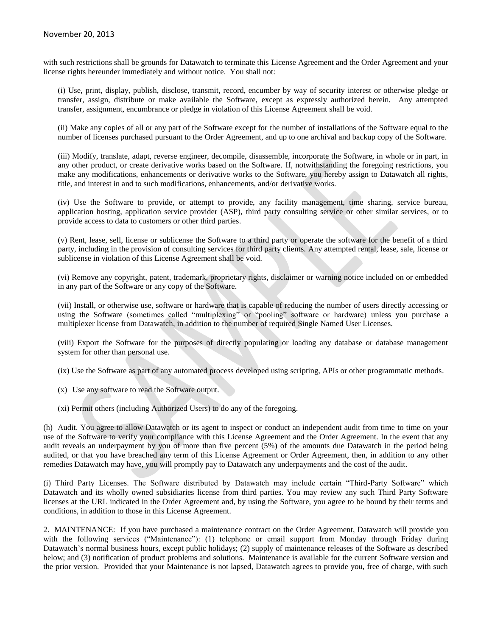## November 20, 2013

with such restrictions shall be grounds for Datawatch to terminate this License Agreement and the Order Agreement and your license rights hereunder immediately and without notice. You shall not:

(i) Use, print, display, publish, disclose, transmit, record, encumber by way of security interest or otherwise pledge or transfer, assign, distribute or make available the Software, except as expressly authorized herein. Any attempted transfer, assignment, encumbrance or pledge in violation of this License Agreement shall be void.

(ii) Make any copies of all or any part of the Software except for the number of installations of the Software equal to the number of licenses purchased pursuant to the Order Agreement, and up to one archival and backup copy of the Software.

(iii) Modify, translate, adapt, reverse engineer, decompile, disassemble, incorporate the Software, in whole or in part, in any other product, or create derivative works based on the Software. If, notwithstanding the foregoing restrictions, you make any modifications, enhancements or derivative works to the Software, you hereby assign to Datawatch all rights, title, and interest in and to such modifications, enhancements, and/or derivative works.

(iv) Use the Software to provide, or attempt to provide, any facility management, time sharing, service bureau, application hosting, application service provider (ASP), third party consulting service or other similar services, or to provide access to data to customers or other third parties.

(v) Rent, lease, sell, license or sublicense the Software to a third party or operate the software for the benefit of a third party, including in the provision of consulting services for third party clients. Any attempted rental, lease, sale, license or sublicense in violation of this License Agreement shall be void.

(vi) Remove any copyright, patent, trademark, proprietary rights, disclaimer or warning notice included on or embedded in any part of the Software or any copy of the Software.

(vii) Install, or otherwise use, software or hardware that is capable of reducing the number of users directly accessing or using the Software (sometimes called "multiplexing" or "pooling" software or hardware) unless you purchase a multiplexer license from Datawatch, in addition to the number of required Single Named User Licenses.

(viii) Export the Software for the purposes of directly populating or loading any database or database management system for other than personal use.

(ix) Use the Software as part of any automated process developed using scripting, APIs or other programmatic methods.

- (x) Use any software to read the Software output.
- (xi) Permit others (including Authorized Users) to do any of the foregoing.

(h) Audit. You agree to allow Datawatch or its agent to inspect or conduct an independent audit from time to time on your use of the Software to verify your compliance with this License Agreement and the Order Agreement. In the event that any audit reveals an underpayment by you of more than five percent (5%) of the amounts due Datawatch in the period being audited, or that you have breached any term of this License Agreement or Order Agreement, then, in addition to any other remedies Datawatch may have, you will promptly pay to Datawatch any underpayments and the cost of the audit.

(i) Third Party Licenses. The Software distributed by Datawatch may include certain "Third-Party Software" which Datawatch and its wholly owned subsidiaries license from third parties. You may review any such Third Party Software licenses at the URL indicated in the Order Agreement and, by using the Software, you agree to be bound by their terms and conditions, in addition to those in this License Agreement.

2. MAINTENANCE: If you have purchased a maintenance contract on the Order Agreement, Datawatch will provide you with the following services ("Maintenance"): (1) telephone or email support from Monday through Friday during Datawatch's normal business hours, except public holidays; (2) supply of maintenance releases of the Software as described below; and (3) notification of product problems and solutions. Maintenance is available for the current Software version and the prior version. Provided that your Maintenance is not lapsed, Datawatch agrees to provide you, free of charge, with such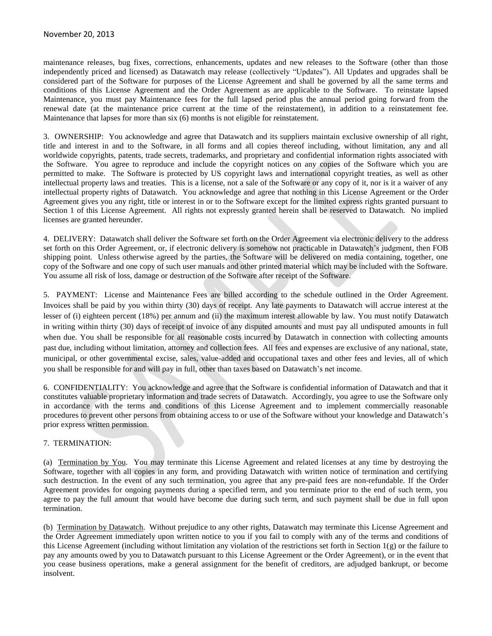maintenance releases, bug fixes, corrections, enhancements, updates and new releases to the Software (other than those independently priced and licensed) as Datawatch may release (collectively "Updates"). All Updates and upgrades shall be considered part of the Software for purposes of the License Agreement and shall be governed by all the same terms and conditions of this License Agreement and the Order Agreement as are applicable to the Software. To reinstate lapsed Maintenance, you must pay Maintenance fees for the full lapsed period plus the annual period going forward from the renewal date (at the maintenance price current at the time of the reinstatement), in addition to a reinstatement fee. Maintenance that lapses for more than six (6) months is not eligible for reinstatement.

3. OWNERSHIP: You acknowledge and agree that Datawatch and its suppliers maintain exclusive ownership of all right, title and interest in and to the Software, in all forms and all copies thereof including, without limitation, any and all worldwide copyrights, patents, trade secrets, trademarks, and proprietary and confidential information rights associated with the Software. You agree to reproduce and include the copyright notices on any copies of the Software which you are permitted to make. The Software is protected by US copyright laws and international copyright treaties, as well as other intellectual property laws and treaties. This is a license, not a sale of the Software or any copy of it, nor is it a waiver of any intellectual property rights of Datawatch. You acknowledge and agree that nothing in this License Agreement or the Order Agreement gives you any right, title or interest in or to the Software except for the limited express rights granted pursuant to Section 1 of this License Agreement. All rights not expressly granted herein shall be reserved to Datawatch. No implied licenses are granted hereunder.

4. DELIVERY: Datawatch shall deliver the Software set forth on the Order Agreement via electronic delivery to the address set forth on this Order Agreement, or, if electronic delivery is somehow not practicable in Datawatch's judgment, then FOB shipping point. Unless otherwise agreed by the parties, the Software will be delivered on media containing, together, one copy of the Software and one copy of such user manuals and other printed material which may be included with the Software. You assume all risk of loss, damage or destruction of the Software after receipt of the Software.

5. PAYMENT: License and Maintenance Fees are billed according to the schedule outlined in the Order Agreement. Invoices shall be paid by you within thirty (30) days of receipt. Any late payments to Datawatch will accrue interest at the lesser of (i) eighteen percent (18%) per annum and (ii) the maximum interest allowable by law. You must notify Datawatch in writing within thirty (30) days of receipt of invoice of any disputed amounts and must pay all undisputed amounts in full when due. You shall be responsible for all reasonable costs incurred by Datawatch in connection with collecting amounts past due, including without limitation, attorney and collection fees. All fees and expenses are exclusive of any national, state, municipal, or other governmental excise, sales, value-added and occupational taxes and other fees and levies, all of which you shall be responsible for and will pay in full, other than taxes based on Datawatch's net income.

6. CONFIDENTIALITY: You acknowledge and agree that the Software is confidential information of Datawatch and that it constitutes valuable proprietary information and trade secrets of Datawatch. Accordingly, you agree to use the Software only in accordance with the terms and conditions of this License Agreement and to implement commercially reasonable procedures to prevent other persons from obtaining access to or use of the Software without your knowledge and Datawatch's prior express written permission.

## 7. TERMINATION:

(a) Termination by You. You may terminate this License Agreement and related licenses at any time by destroying the Software, together with all copies in any form, and providing Datawatch with written notice of termination and certifying such destruction. In the event of any such termination, you agree that any pre-paid fees are non-refundable. If the Order Agreement provides for ongoing payments during a specified term, and you terminate prior to the end of such term, you agree to pay the full amount that would have become due during such term, and such payment shall be due in full upon termination.

(b) Termination by Datawatch. Without prejudice to any other rights, Datawatch may terminate this License Agreement and the Order Agreement immediately upon written notice to you if you fail to comply with any of the terms and conditions of this License Agreement (including without limitation any violation of the restrictions set forth in Section  $1(g)$  or the failure to pay any amounts owed by you to Datawatch pursuant to this License Agreement or the Order Agreement), or in the event that you cease business operations, make a general assignment for the benefit of creditors, are adjudged bankrupt, or become insolvent.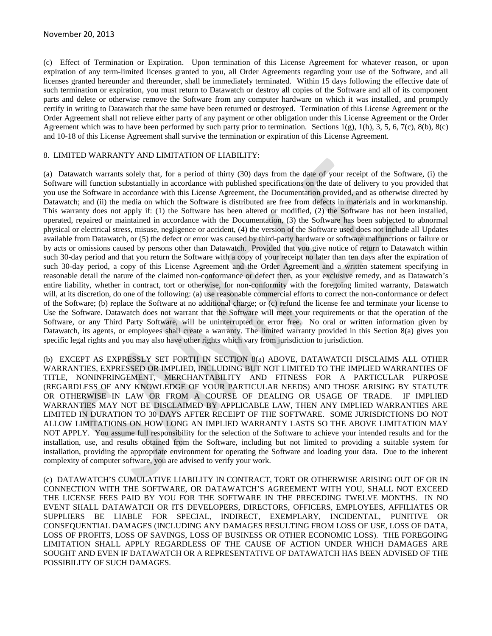(c) Effect of Termination or Expiration. Upon termination of this License Agreement for whatever reason, or upon expiration of any term-limited licenses granted to you, all Order Agreements regarding your use of the Software, and all licenses granted hereunder and thereunder, shall be immediately terminated. Within 15 days following the effective date of such termination or expiration, you must return to Datawatch or destroy all copies of the Software and all of its component parts and delete or otherwise remove the Software from any computer hardware on which it was installed, and promptly certify in writing to Datawatch that the same have been returned or destroyed. Termination of this License Agreement or the Order Agreement shall not relieve either party of any payment or other obligation under this License Agreement or the Order Agreement which was to have been performed by such party prior to termination. Sections  $1(g)$ ,  $1(h)$ ,  $3$ ,  $5$ ,  $6$ ,  $7(c)$ ,  $8(b)$ ,  $8(c)$ and 10-18 of this License Agreement shall survive the termination or expiration of this License Agreement.

#### 8. LIMITED WARRANTY AND LIMITATION OF LIABILITY:

(a) Datawatch warrants solely that, for a period of thirty (30) days from the date of your receipt of the Software, (i) the Software will function substantially in accordance with published specifications on the date of delivery to you provided that you use the Software in accordance with this License Agreement, the Documentation provided, and as otherwise directed by Datawatch; and (ii) the media on which the Software is distributed are free from defects in materials and in workmanship. This warranty does not apply if: (1) the Software has been altered or modified, (2) the Software has not been installed, operated, repaired or maintained in accordance with the Documentation, (3) the Software has been subjected to abnormal physical or electrical stress, misuse, negligence or accident, (4) the version of the Software used does not include all Updates available from Datawatch, or (5) the defect or error was caused by third-party hardware or software malfunctions or failure or by acts or omissions caused by persons other than Datawatch. Provided that you give notice of return to Datawatch within such 30-day period and that you return the Software with a copy of your receipt no later than ten days after the expiration of such 30-day period, a copy of this License Agreement and the Order Agreement and a written statement specifying in reasonable detail the nature of the claimed non-conformance or defect then, as your exclusive remedy, and as Datawatch's entire liability, whether in contract, tort or otherwise, for non-conformity with the foregoing limited warranty, Datawatch will, at its discretion, do one of the following: (a) use reasonable commercial efforts to correct the non-conformance or defect of the Software; (b) replace the Software at no additional charge; or (c) refund the license fee and terminate your license to Use the Software. Datawatch does not warrant that the Software will meet your requirements or that the operation of the Software, or any Third Party Software, will be uninterrupted or error free. No oral or written information given by Datawatch, its agents, or employees shall create a warranty. The limited warranty provided in this Section 8(a) gives you specific legal rights and you may also have other rights which vary from jurisdiction to jurisdiction.

(b) EXCEPT AS EXPRESSLY SET FORTH IN SECTION 8(a) ABOVE, DATAWATCH DISCLAIMS ALL OTHER WARRANTIES, EXPRESSED OR IMPLIED, INCLUDING BUT NOT LIMITED TO THE IMPLIED WARRANTIES OF TITLE, NONINFRINGEMENT, MERCHANTABILITY AND FITNESS FOR A PARTICULAR PURPOSE (REGARDLESS OF ANY KNOWLEDGE OF YOUR PARTICULAR NEEDS) AND THOSE ARISING BY STATUTE OR OTHERWISE IN LAW OR FROM A COURSE OF DEALING OR USAGE OF TRADE. IF IMPLIED WARRANTIES MAY NOT BE DISCLAIMED BY APPLICABLE LAW, THEN ANY IMPLIED WARRANTIES ARE LIMITED IN DURATION TO 30 DAYS AFTER RECEIPT OF THE SOFTWARE. SOME JURISDICTIONS DO NOT ALLOW LIMITATIONS ON HOW LONG AN IMPLIED WARRANTY LASTS SO THE ABOVE LIMITATION MAY NOT APPLY. You assume full responsibility for the selection of the Software to achieve your intended results and for the installation, use, and results obtained from the Software, including but not limited to providing a suitable system for installation, providing the appropriate environment for operating the Software and loading your data. Due to the inherent complexity of computer software, you are advised to verify your work.

(c) DATAWATCH'S CUMULATIVE LIABILITY IN CONTRACT, TORT OR OTHERWISE ARISING OUT OF OR IN CONNECTION WITH THE SOFTWARE, OR DATAWATCH'S AGREEMENT WITH YOU, SHALL NOT EXCEED THE LICENSE FEES PAID BY YOU FOR THE SOFTWARE IN THE PRECEDING TWELVE MONTHS. IN NO EVENT SHALL DATAWATCH OR ITS DEVELOPERS, DIRECTORS, OFFICERS, EMPLOYEES, AFFILIATES OR SUPPLIERS BE LIABLE FOR SPECIAL, INDIRECT, EXEMPLARY, INCIDENTAL, PUNITIVE OR CONSEQUENTIAL DAMAGES (INCLUDING ANY DAMAGES RESULTING FROM LOSS OF USE, LOSS OF DATA, LOSS OF PROFITS, LOSS OF SAVINGS, LOSS OF BUSINESS OR OTHER ECONOMIC LOSS). THE FOREGOING LIMITATION SHALL APPLY REGARDLESS OF THE CAUSE OF ACTION UNDER WHICH DAMAGES ARE SOUGHT AND EVEN IF DATAWATCH OR A REPRESENTATIVE OF DATAWATCH HAS BEEN ADVISED OF THE POSSIBILITY OF SUCH DAMAGES.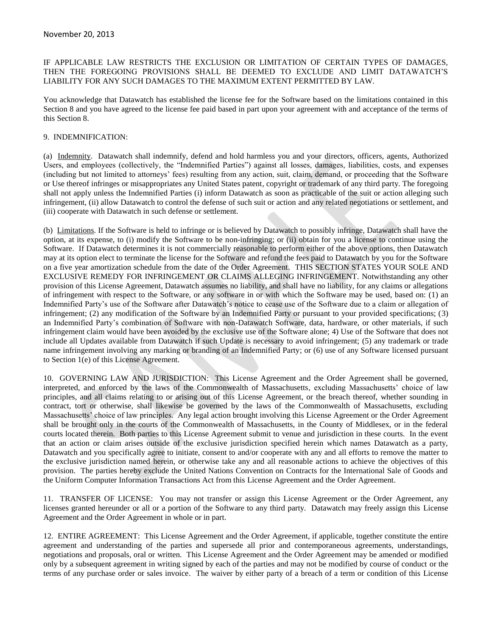## IF APPLICABLE LAW RESTRICTS THE EXCLUSION OR LIMITATION OF CERTAIN TYPES OF DAMAGES, THEN THE FOREGOING PROVISIONS SHALL BE DEEMED TO EXCLUDE AND LIMIT DATAWATCH'S LIABILITY FOR ANY SUCH DAMAGES TO THE MAXIMUM EXTENT PERMITTED BY LAW.

You acknowledge that Datawatch has established the license fee for the Software based on the limitations contained in this Section 8 and you have agreed to the license fee paid based in part upon your agreement with and acceptance of the terms of this Section 8.

## 9. INDEMNIFICATION:

(a) Indemnity. Datawatch shall indemnify, defend and hold harmless you and your directors, officers, agents, Authorized Users, and employees (collectively, the "Indemnified Parties") against all losses, damages, liabilities, costs, and expenses (including but not limited to attorneys' fees) resulting from any action, suit, claim, demand, or proceeding that the Software or Use thereof infringes or misappropriates any United States patent, copyright or trademark of any third party. The foregoing shall not apply unless the Indemnified Parties (i) inform Datawatch as soon as practicable of the suit or action alleging such infringement, (ii) allow Datawatch to control the defense of such suit or action and any related negotiations or settlement, and (iii) cooperate with Datawatch in such defense or settlement.

(b) Limitations. If the Software is held to infringe or is believed by Datawatch to possibly infringe, Datawatch shall have the option, at its expense, to (i) modify the Software to be non-infringing; or (ii) obtain for you a license to continue using the Software. If Datawatch determines it is not commercially reasonable to perform either of the above options, then Datawatch may at its option elect to terminate the license for the Software and refund the fees paid to Datawatch by you for the Software on a five year amortization schedule from the date of the Order Agreement. THIS SECTION STATES YOUR SOLE AND EXCLUSIVE REMEDY FOR INFRINGEMENT OR CLAIMS ALLEGING INFRINGEMENT. Notwithstanding any other provision of this License Agreement, Datawatch assumes no liability, and shall have no liability, for any claims or allegations of infringement with respect to the Software, or any software in or with which the Software may be used, based on: (1) an Indemnified Party's use of the Software after Datawatch's notice to cease use of the Software due to a claim or allegation of infringement; (2) any modification of the Software by an Indemnified Party or pursuant to your provided specifications; (3) an Indemnified Party's combination of Software with non-Datawatch Software, data, hardware, or other materials, if such infringement claim would have been avoided by the exclusive use of the Software alone; 4) Use of the Software that does not include all Updates available from Datawatch if such Update is necessary to avoid infringement; (5) any trademark or trade name infringement involving any marking or branding of an Indemnified Party; or (6) use of any Software licensed pursuant to Section 1(e) of this License Agreement.

10. GOVERNING LAW AND JURISDICTION: This License Agreement and the Order Agreement shall be governed, interpreted, and enforced by the laws of the Commonwealth of Massachusetts, excluding Massachusetts' choice of law principles, and all claims relating to or arising out of this License Agreement, or the breach thereof, whether sounding in contract, tort or otherwise, shall likewise be governed by the laws of the Commonwealth of Massachusetts, excluding Massachusetts' choice of law principles. Any legal action brought involving this License Agreement or the Order Agreement shall be brought only in the courts of the Commonwealth of Massachusetts, in the County of Middlesex, or in the federal courts located therein. Both parties to this License Agreement submit to venue and jurisdiction in these courts. In the event that an action or claim arises outside of the exclusive jurisdiction specified herein which names Datawatch as a party, Datawatch and you specifically agree to initiate, consent to and/or cooperate with any and all efforts to remove the matter to the exclusive jurisdiction named herein, or otherwise take any and all reasonable actions to achieve the objectives of this provision. The parties hereby exclude the United Nations Convention on Contracts for the International Sale of Goods and the Uniform Computer Information Transactions Act from this License Agreement and the Order Agreement.

11. TRANSFER OF LICENSE: You may not transfer or assign this License Agreement or the Order Agreement, any licenses granted hereunder or all or a portion of the Software to any third party. Datawatch may freely assign this License Agreement and the Order Agreement in whole or in part.

12. ENTIRE AGREEMENT: This License Agreement and the Order Agreement, if applicable, together constitute the entire agreement and understanding of the parties and supersede all prior and contemporaneous agreements, understandings, negotiations and proposals, oral or written. This License Agreement and the Order Agreement may be amended or modified only by a subsequent agreement in writing signed by each of the parties and may not be modified by course of conduct or the terms of any purchase order or sales invoice. The waiver by either party of a breach of a term or condition of this License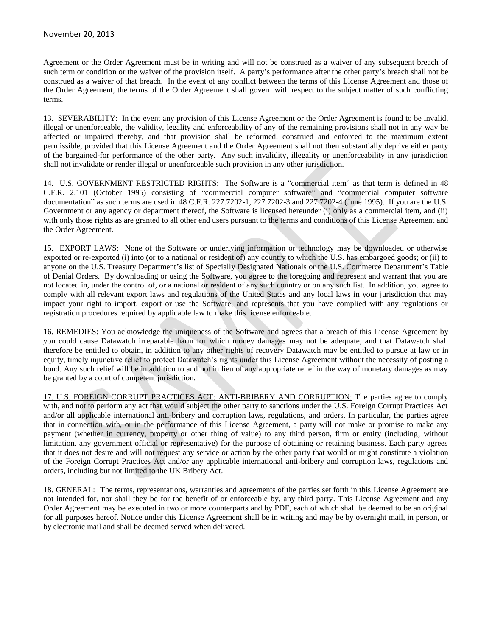Agreement or the Order Agreement must be in writing and will not be construed as a waiver of any subsequent breach of such term or condition or the waiver of the provision itself. A party's performance after the other party's breach shall not be construed as a waiver of that breach. In the event of any conflict between the terms of this License Agreement and those of the Order Agreement, the terms of the Order Agreement shall govern with respect to the subject matter of such conflicting terms.

13. SEVERABILITY: In the event any provision of this License Agreement or the Order Agreement is found to be invalid, illegal or unenforceable, the validity, legality and enforceability of any of the remaining provisions shall not in any way be affected or impaired thereby, and that provision shall be reformed, construed and enforced to the maximum extent permissible, provided that this License Agreement and the Order Agreement shall not then substantially deprive either party of the bargained-for performance of the other party. Any such invalidity, illegality or unenforceability in any jurisdiction shall not invalidate or render illegal or unenforceable such provision in any other jurisdiction.

14. U.S. GOVERNMENT RESTRICTED RIGHTS: The Software is a "commercial item" as that term is defined in 48 C.F.R. 2.101 (October 1995) consisting of "commercial computer software" and "commercial computer software documentation" as such terms are used in 48 C.F.R. 227.7202-1, 227.7202-3 and 227.7202-4 (June 1995). If you are the U.S. Government or any agency or department thereof, the Software is licensed hereunder (i) only as a commercial item, and (ii) with only those rights as are granted to all other end users pursuant to the terms and conditions of this License Agreement and the Order Agreement.

15. EXPORT LAWS: None of the Software or underlying information or technology may be downloaded or otherwise exported or re-exported (i) into (or to a national or resident of) any country to which the U.S. has embargoed goods; or (ii) to anyone on the U.S. Treasury Department's list of Specially Designated Nationals or the U.S. Commerce Department's Table of Denial Orders. By downloading or using the Software, you agree to the foregoing and represent and warrant that you are not located in, under the control of, or a national or resident of any such country or on any such list. In addition, you agree to comply with all relevant export laws and regulations of the United States and any local laws in your jurisdiction that may impact your right to import, export or use the Software, and represents that you have complied with any regulations or registration procedures required by applicable law to make this license enforceable.

16. REMEDIES: You acknowledge the uniqueness of the Software and agrees that a breach of this License Agreement by you could cause Datawatch irreparable harm for which money damages may not be adequate, and that Datawatch shall therefore be entitled to obtain, in addition to any other rights of recovery Datawatch may be entitled to pursue at law or in equity, timely injunctive relief to protect Datawatch's rights under this License Agreement without the necessity of posting a bond. Any such relief will be in addition to and not in lieu of any appropriate relief in the way of monetary damages as may be granted by a court of competent jurisdiction.

17. U.S. FOREIGN CORRUPT PRACTICES ACT; ANTI-BRIBERY AND CORRUPTION: The parties agree to comply with, and not to perform any act that would subject the other party to sanctions under the U.S. Foreign Corrupt Practices Act and/or all applicable international anti-bribery and corruption laws, regulations, and orders. In particular, the parties agree that in connection with, or in the performance of this License Agreement, a party will not make or promise to make any payment (whether in currency, property or other thing of value) to any third person, firm or entity (including, without limitation, any government official or representative) for the purpose of obtaining or retaining business. Each party agrees that it does not desire and will not request any service or action by the other party that would or might constitute a violation of the Foreign Corrupt Practices Act and/or any applicable international anti-bribery and corruption laws, regulations and orders, including but not limited to the UK Bribery Act.

18. GENERAL: The terms, representations, warranties and agreements of the parties set forth in this License Agreement are not intended for, nor shall they be for the benefit of or enforceable by, any third party. This License Agreement and any Order Agreement may be executed in two or more counterparts and by PDF, each of which shall be deemed to be an original for all purposes hereof. Notice under this License Agreement shall be in writing and may be by overnight mail, in person, or by electronic mail and shall be deemed served when delivered.